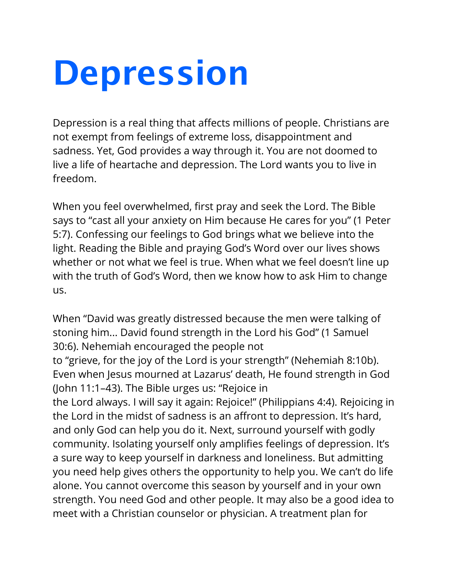## **Depression**

Depression is a real thing that affects millions of people. Christians are not exempt from feelings of extreme loss, disappointment and sadness. Yet, God provides a way through it. You are not doomed to live a life of heartache and depression. The Lord wants you to live in freedom.

When you feel overwhelmed, first pray and seek the Lord. The Bible says to "cast all your anxiety on Him because He cares for you" (1 Peter 5:7). Confessing our feelings to God brings what we believe into the light. Reading the Bible and praying God's Word over our lives shows whether or not what we feel is true. When what we feel doesn't line up with the truth of God's Word, then we know how to ask Him to change us.

When "David was greatly distressed because the men were talking of stoning him... David found strength in the Lord his God" (1 Samuel 30:6). Nehemiah encouraged the people not

to "grieve, for the joy of the Lord is your strength" (Nehemiah 8:10b). Even when Jesus mourned at Lazarus' death, He found strength in God (John 11:1–43). The Bible urges us: "Rejoice in

the Lord always. I will say it again: Rejoice!" (Philippians 4:4). Rejoicing in the Lord in the midst of sadness is an affront to depression. It's hard, and only God can help you do it. Next, surround yourself with godly community. Isolating yourself only amplifies feelings of depression. It's a sure way to keep yourself in darkness and loneliness. But admitting you need help gives others the opportunity to help you. We can't do life alone. You cannot overcome this season by yourself and in your own strength. You need God and other people. It may also be a good idea to meet with a Christian counselor or physician. A treatment plan for